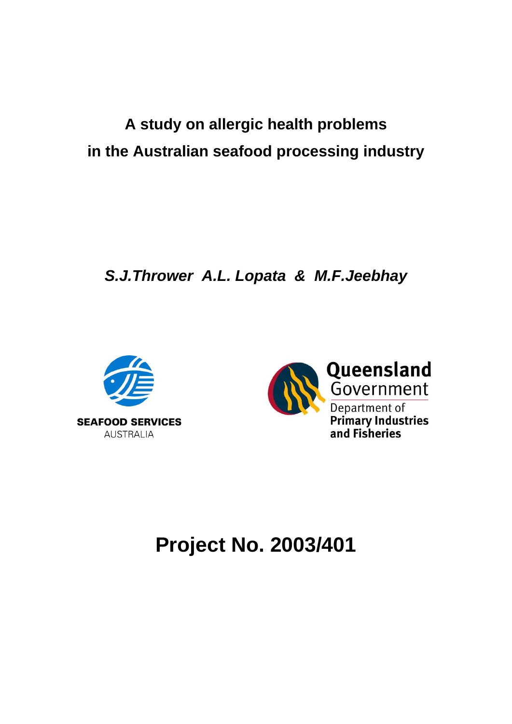# **A study on allergic health problems in the Australian seafood processing industry**

*S.J.Thrower A.L. Lopata & M.F.Jeebhay*





# **Project No. 2003/401**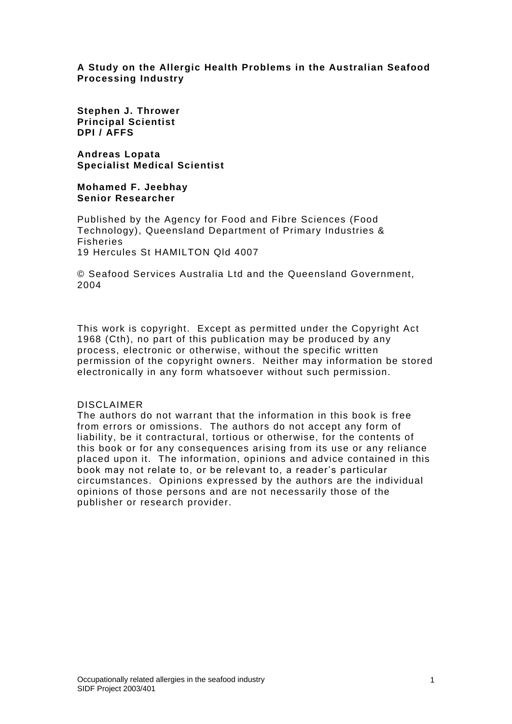## **A Study on the Allergic Health Problems in the Australian Seafood Processing Industry**

**Stephen J. Thrower Principal Scientist DPI / AFFS**

**Andreas Lopata Specialist Medical Scientist**

**Mohamed F. Jeebhay Senior Researcher**

Published by the Agency for Food and Fibre Sciences (Food Technology), Queensland Department of Primary Industries & Fisheries 19 Hercules St HAMILTON Qld 4007

© Seafood Services Australia Ltd and the Queensland Government, 2004

This work is copyright. Except as permitted under the Copyright Act 1968 (Cth), no part of this publication may be produced by any process, electronic or otherwise, without the specific written permission of the copyright owners. Neither may information be stored electronically in any form whatsoever without such permission.

#### DISCLAIMER

The authors do not warrant that the information in this book is free from errors or omissions. The authors do not accept any form of liability, be it contractural, tortious or otherwise, for the contents of this book or for any consequences arising from its use or any reliance placed upon it. The information, opinions and advice contained in this book may not relate to, or be relevant to, a reader's particular circumstances. Opinions expressed by the authors are the individual opinions of those persons and are not necessarily those of the publisher or research provider.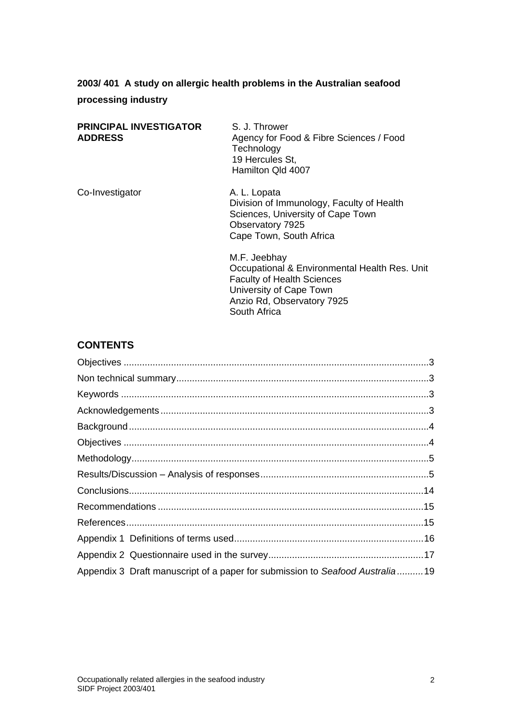# **2003/ 401 A study on allergic health problems in the Australian seafood processing industry**

| <b>PRINCIPAL INVESTIGATOR</b><br><b>ADDRESS</b> | S. J. Thrower<br>Agency for Food & Fibre Sciences / Food<br>Technology<br>19 Hercules St,<br>Hamilton Qld 4007                                                              |  |
|-------------------------------------------------|-----------------------------------------------------------------------------------------------------------------------------------------------------------------------------|--|
| Co-Investigator                                 | A. L. Lopata<br>Division of Immunology, Faculty of Health<br>Sciences, University of Cape Town<br>Observatory 7925<br>Cape Town, South Africa                               |  |
|                                                 | M.F. Jeebhay<br>Occupational & Environmental Health Res. Unit<br><b>Faculty of Health Sciences</b><br>University of Cape Town<br>Anzio Rd, Observatory 7925<br>South Africa |  |

# **CONTENTS**

| Appendix 3 Draft manuscript of a paper for submission to Seafood Australia19 |
|------------------------------------------------------------------------------|
|                                                                              |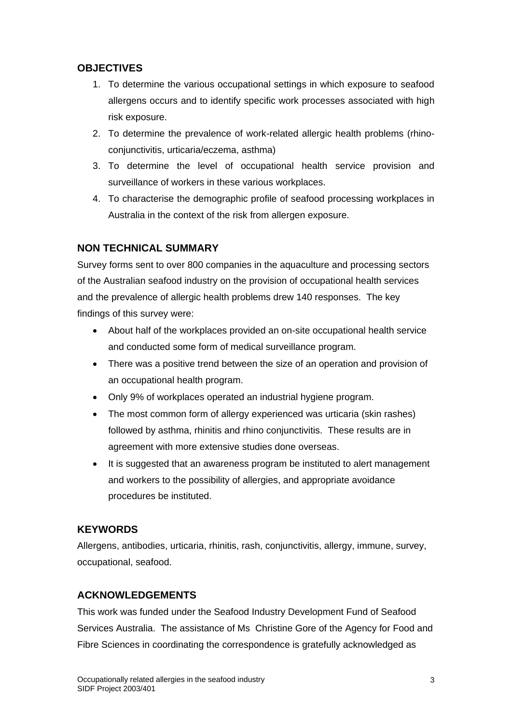## <span id="page-3-0"></span>**OBJECTIVES**

- 1. To determine the various occupational settings in which exposure to seafood allergens occurs and to identify specific work processes associated with high risk exposure.
- 2. To determine the prevalence of work-related allergic health problems (rhinoconjunctivitis, urticaria/eczema, asthma)
- 3. To determine the level of occupational health service provision and surveillance of workers in these various workplaces.
- 4. To characterise the demographic profile of seafood processing workplaces in Australia in the context of the risk from allergen exposure.

# <span id="page-3-1"></span>**NON TECHNICAL SUMMARY**

Survey forms sent to over 800 companies in the aquaculture and processing sectors of the Australian seafood industry on the provision of occupational health services and the prevalence of allergic health problems drew 140 responses. The key findings of this survey were:

- About half of the workplaces provided an on-site occupational health service and conducted some form of medical surveillance program.
- There was a positive trend between the size of an operation and provision of an occupational health program.
- Only 9% of workplaces operated an industrial hygiene program.
- The most common form of allergy experienced was urticaria (skin rashes) followed by asthma, rhinitis and rhino conjunctivitis. These results are in agreement with more extensive studies done overseas.
- It is suggested that an awareness program be instituted to alert management and workers to the possibility of allergies, and appropriate avoidance procedures be instituted.

## <span id="page-3-2"></span>**KEYWORDS**

Allergens, antibodies, urticaria, rhinitis, rash, conjunctivitis, allergy, immune, survey, occupational, seafood.

## <span id="page-3-3"></span>**ACKNOWLEDGEMENTS**

This work was funded under the Seafood Industry Development Fund of Seafood Services Australia. The assistance of Ms Christine Gore of the Agency for Food and Fibre Sciences in coordinating the correspondence is gratefully acknowledged as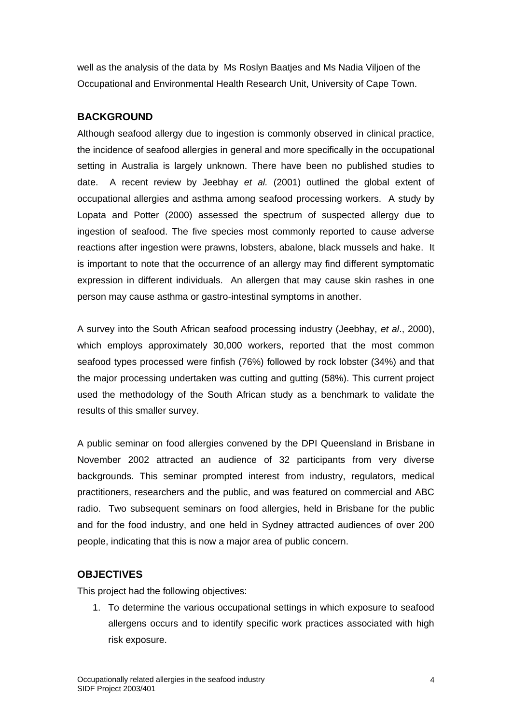well as the analysis of the data by Ms Roslyn Baatjes and Ms Nadia Viljoen of the Occupational and Environmental Health Research Unit, University of Cape Town.

# <span id="page-4-0"></span>**BACKGROUND**

Although seafood allergy due to ingestion is commonly observed in clinical practice, the incidence of seafood allergies in general and more specifically in the occupational setting in Australia is largely unknown. There have been no published studies to date. A recent review by Jeebhay *et al.* (2001) outlined the global extent of occupational allergies and asthma among seafood processing workers. A study by Lopata and Potter (2000) assessed the spectrum of suspected allergy due to ingestion of seafood. The five species most commonly reported to cause adverse reactions after ingestion were prawns, lobsters, abalone, black mussels and hake. It is important to note that the occurrence of an allergy may find different symptomatic expression in different individuals. An allergen that may cause skin rashes in one person may cause asthma or gastro-intestinal symptoms in another.

A survey into the South African seafood processing industry (Jeebhay, *et al*., 2000), which employs approximately 30,000 workers, reported that the most common seafood types processed were finfish (76%) followed by rock lobster (34%) and that the major processing undertaken was cutting and gutting (58%). This current project used the methodology of the South African study as a benchmark to validate the results of this smaller survey.

A public seminar on food allergies convened by the DPI Queensland in Brisbane in November 2002 attracted an audience of 32 participants from very diverse backgrounds. This seminar prompted interest from industry, regulators, medical practitioners, researchers and the public, and was featured on commercial and ABC radio. Two subsequent seminars on food allergies, held in Brisbane for the public and for the food industry, and one held in Sydney attracted audiences of over 200 people, indicating that this is now a major area of public concern.

# <span id="page-4-1"></span>**OBJECTIVES**

This project had the following objectives:

1. To determine the various occupational settings in which exposure to seafood allergens occurs and to identify specific work practices associated with high risk exposure.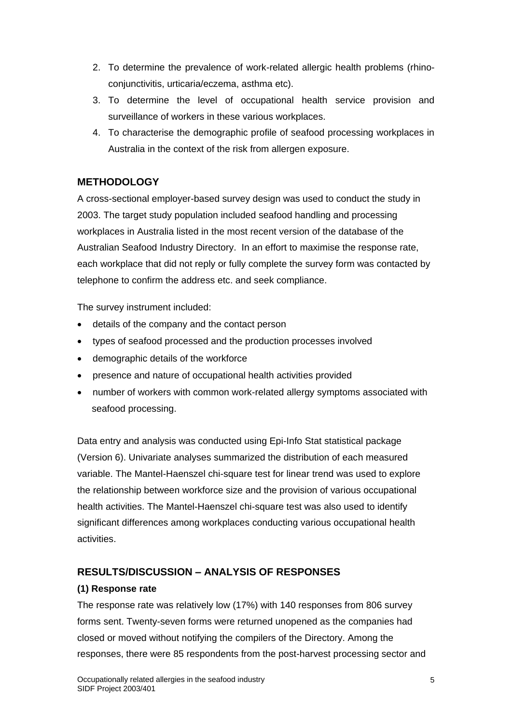- 2. To determine the prevalence of work-related allergic health problems (rhinoconjunctivitis, urticaria/eczema, asthma etc).
- 3. To determine the level of occupational health service provision and surveillance of workers in these various workplaces.
- 4. To characterise the demographic profile of seafood processing workplaces in Australia in the context of the risk from allergen exposure.

# <span id="page-5-0"></span>**METHODOLOGY**

A cross-sectional employer-based survey design was used to conduct the study in 2003. The target study population included seafood handling and processing workplaces in Australia listed in the most recent version of the database of the Australian Seafood Industry Directory. In an effort to maximise the response rate, each workplace that did not reply or fully complete the survey form was contacted by telephone to confirm the address etc. and seek compliance.

The survey instrument included:

- details of the company and the contact person
- types of seafood processed and the production processes involved
- demographic details of the workforce
- presence and nature of occupational health activities provided
- number of workers with common work-related allergy symptoms associated with seafood processing.

Data entry and analysis was conducted using Epi-Info Stat statistical package (Version 6). Univariate analyses summarized the distribution of each measured variable. The Mantel-Haenszel chi-square test for linear trend was used to explore the relationship between workforce size and the provision of various occupational health activities. The Mantel-Haenszel chi-square test was also used to identify significant differences among workplaces conducting various occupational health activities.

## <span id="page-5-1"></span>**RESULTS/DISCUSSION – ANALYSIS OF RESPONSES**

## **(1) Response rate**

The response rate was relatively low (17%) with 140 responses from 806 survey forms sent. Twenty-seven forms were returned unopened as the companies had closed or moved without notifying the compilers of the Directory. Among the responses, there were 85 respondents from the post-harvest processing sector and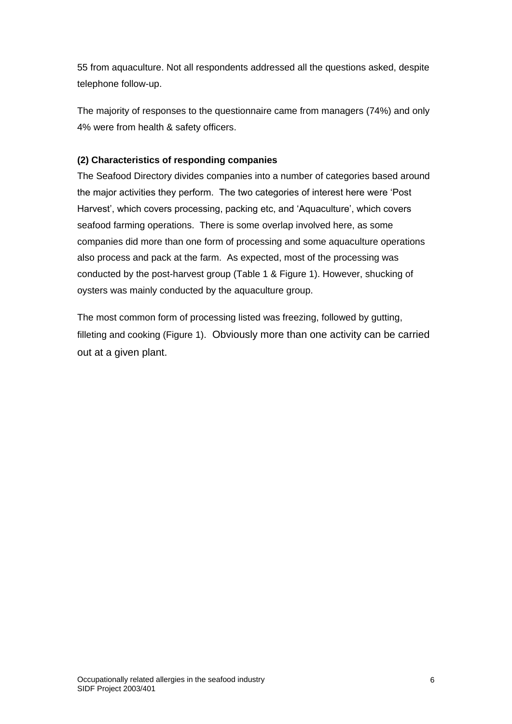55 from aquaculture. Not all respondents addressed all the questions asked, despite telephone follow-up.

The majority of responses to the questionnaire came from managers (74%) and only 4% were from health & safety officers.

## **(2) Characteristics of responding companies**

The Seafood Directory divides companies into a number of categories based around the major activities they perform. The two categories of interest here were 'Post Harvest', which covers processing, packing etc, and 'Aquaculture', which covers seafood farming operations. There is some overlap involved here, as some companies did more than one form of processing and some aquaculture operations also process and pack at the farm. As expected, most of the processing was conducted by the post-harvest group (Table 1 & Figure 1). However, shucking of oysters was mainly conducted by the aquaculture group.

The most common form of processing listed was freezing, followed by gutting, filleting and cooking (Figure 1). Obviously more than one activity can be carried out at a given plant.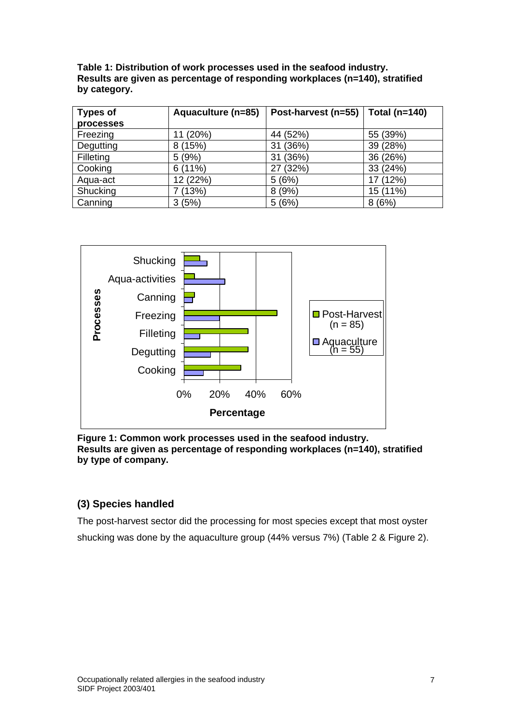**Table 1: Distribution of work processes used in the seafood industry. Results are given as percentage of responding workplaces (n=140), stratified by category.**

| <b>Types of</b> | Aquaculture (n=85) | Post-harvest (n=55) | Total (n=140) |  |
|-----------------|--------------------|---------------------|---------------|--|
| processes       |                    |                     |               |  |
| Freezing        | 11 (20%)           | 44 (52%)            | 55 (39%)      |  |
| Degutting       | 8(15%)             | (36%)<br>31         | 39 (28%)      |  |
| Filleting       | 5(9%)              | (36%)<br>31         | 36 (26%)      |  |
| Cooking         | 6(11%)             | (32%)               | 33 (24%)      |  |
| Aqua-act        | 12 (22%)           | 5(6%)               | 17 (12%)      |  |
| Shucking        | 7 (13%)            | 8(9%)               | 15 (11%)      |  |
| Canning         | 3(5%)              | 5(6%)               | 8(6%)         |  |



**Figure 1: Common work processes used in the seafood industry. Results are given as percentage of responding workplaces (n=140), stratified by type of company.**

## **(3) Species handled**

The post-harvest sector did the processing for most species except that most oyster shucking was done by the aquaculture group (44% versus 7%) (Table 2 & Figure 2).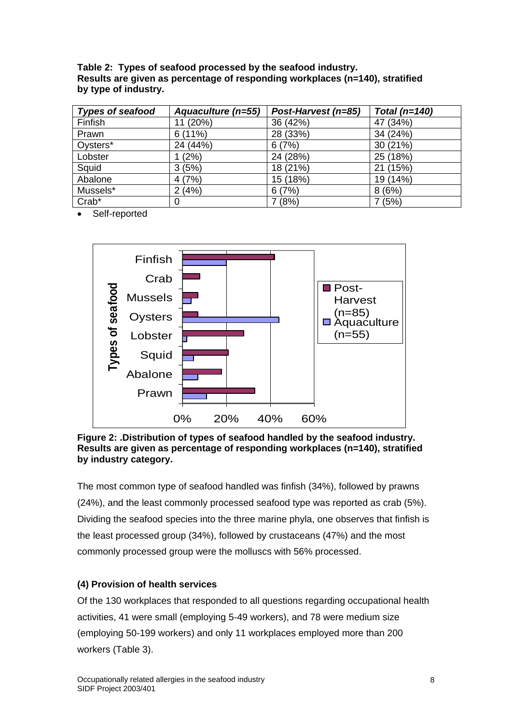**Table 2: Types of seafood processed by the seafood industry. Results are given as percentage of responding workplaces (n=140), stratified by type of industry.**

| <b>Types of seafood</b> | Aquaculture (n=55) | Post-Harvest (n=85) | Total (n=140) |
|-------------------------|--------------------|---------------------|---------------|
| Finfish                 | 11 (20%)           | 36 (42%)            | 47 (34%)      |
| Prawn                   | 6(11%)             | 28 (33%)            | 34 (24%)      |
| Oysters*                | 24 (44%)           | 6(7%)               | 30(21%)       |
| Lobster                 | (2%)               | 24 (28%)            | 25 (18%)      |
| Squid                   | 3(5%)              | 18 (21%)            | 21 (15%)      |
| Abalone                 | 4(7%)              | 15 (18%)            | 19 (14%)      |
| Mussels*                | 2(4%)              | 6(7%)               | 8(6%)         |
| Crab*                   | 0                  | 7(8%)               | 7(5%)         |

Self-reported



**Figure 2: .Distribution of types of seafood handled by the seafood industry. Results are given as percentage of responding workplaces (n=140), stratified by industry category.**

The most common type of seafood handled was finfish (34%), followed by prawns (24%), and the least commonly processed seafood type was reported as crab (5%). Dividing the seafood species into the three marine phyla, one observes that finfish is the least processed group (34%), followed by crustaceans (47%) and the most commonly processed group were the molluscs with 56% processed.

## **(4) Provision of health services**

Of the 130 workplaces that responded to all questions regarding occupational health activities, 41 were small (employing 5-49 workers), and 78 were medium size (employing 50-199 workers) and only 11 workplaces employed more than 200 workers (Table 3).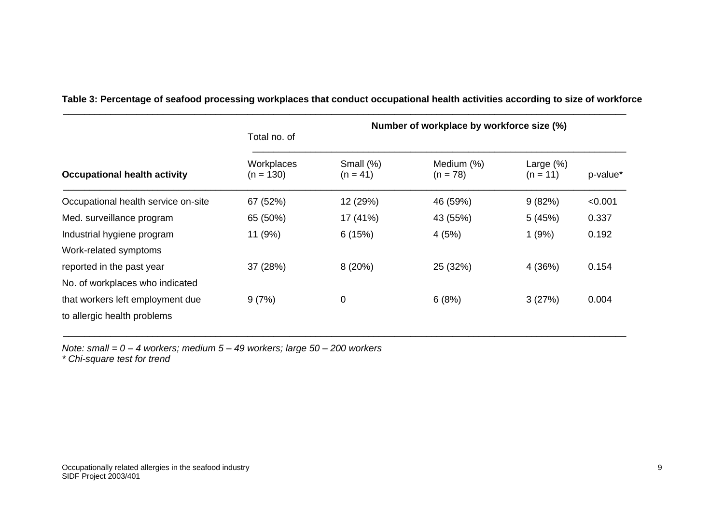|                                     | Number of workplace by workforce size (%)<br>Total no. of |                            |                          |                            |          |  |
|-------------------------------------|-----------------------------------------------------------|----------------------------|--------------------------|----------------------------|----------|--|
| <b>Occupational health activity</b> | Workplaces<br>$(n = 130)$                                 | Small $(\%)$<br>$(n = 41)$ | Medium (%)<br>$(n = 78)$ | Large $(\%)$<br>$(n = 11)$ | p-value* |  |
| Occupational health service on-site | 67 (52%)                                                  | 12 (29%)                   | 46 (59%)                 | 9(82%)                     | < 0.001  |  |
| Med. surveillance program           | 65 (50%)                                                  | 17 (41%)                   | 43 (55%)                 | 5(45%)                     | 0.337    |  |
| Industrial hygiene program          | 11 (9%)                                                   | 6(15%)                     | 4 (5%)                   | 1(9%)                      | 0.192    |  |
| Work-related symptoms               |                                                           |                            |                          |                            |          |  |
| reported in the past year           | 37 (28%)                                                  | 8(20%)                     | 25 (32%)                 | 4 (36%)                    | 0.154    |  |
| No. of workplaces who indicated     |                                                           |                            |                          |                            |          |  |
| that workers left employment due    | 9(7%)                                                     | 0                          | 6(8%)                    | 3(27%)                     | 0.004    |  |
| to allergic health problems         |                                                           |                            |                          |                            |          |  |

**Table 3: Percentage of seafood processing workplaces that conduct occupational health activities according to size of workforce**

\_\_\_\_\_\_\_\_\_\_\_\_\_\_\_\_\_\_\_\_\_\_\_\_\_\_\_\_\_\_\_\_\_\_\_\_\_\_\_\_\_\_\_\_\_\_\_\_\_\_\_\_\_\_\_\_\_\_\_\_\_\_\_\_\_\_\_\_\_\_\_\_\_\_\_\_\_\_\_\_\_\_\_\_\_\_\_\_\_\_\_\_\_\_\_\_\_\_\_\_\_\_\_\_\_\_\_

*Note: small = 0 – 4 workers; medium 5 – 49 workers; large 50 – 200 workers*

*\* Chi-square test for trend*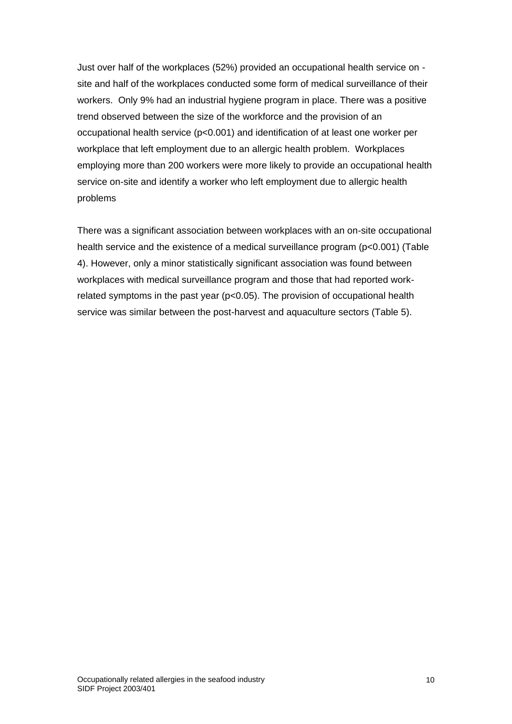Just over half of the workplaces (52%) provided an occupational health service on site and half of the workplaces conducted some form of medical surveillance of their workers. Only 9% had an industrial hygiene program in place. There was a positive trend observed between the size of the workforce and the provision of an occupational health service (p<0.001) and identification of at least one worker per workplace that left employment due to an allergic health problem. Workplaces employing more than 200 workers were more likely to provide an occupational health service on-site and identify a worker who left employment due to allergic health problems

There was a significant association between workplaces with an on-site occupational health service and the existence of a medical surveillance program (p<0.001) (Table 4). However, only a minor statistically significant association was found between workplaces with medical surveillance program and those that had reported workrelated symptoms in the past year (p<0.05). The provision of occupational health service was similar between the post-harvest and aquaculture sectors (Table 5).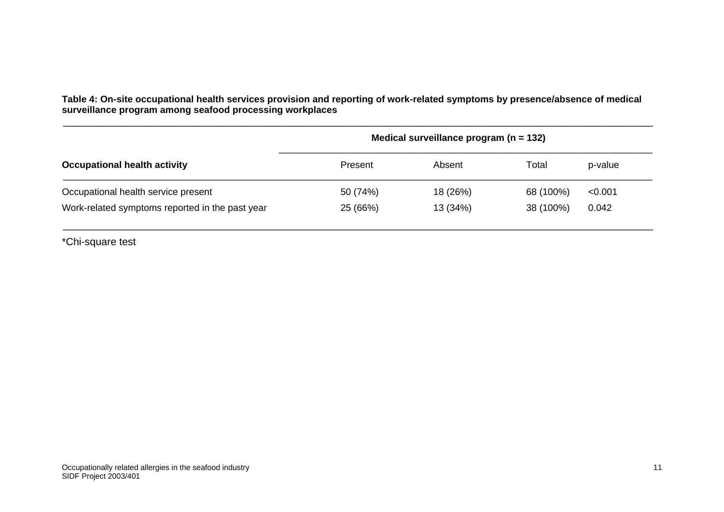**Table 4: On-site occupational health services provision and reporting of work-related symptoms by presence/absence of medical surveillance program among seafood processing workplaces**

\_\_\_\_\_\_\_\_\_\_\_\_\_\_\_\_\_\_\_\_\_\_\_\_\_\_\_\_\_\_\_\_\_\_\_\_\_\_\_\_\_\_\_\_\_\_\_\_\_\_\_\_\_\_\_\_\_\_\_\_\_\_\_\_\_\_\_\_\_\_\_\_\_\_\_\_\_\_\_\_\_\_\_\_\_\_\_\_\_\_\_\_\_\_\_\_\_\_\_\_\_\_\_

| Medical surveillance program ( $n = 132$ ) |          |           |         |  |
|--------------------------------------------|----------|-----------|---------|--|
| Present                                    | Absent   | Total     | p-value |  |
| 50 (74%)                                   | 18 (26%) | 68 (100%) | < 0.001 |  |
| 25 (66%)                                   | 13 (34%) | 38 (100%) | 0.042   |  |
|                                            |          |           |         |  |

\*Chi-square test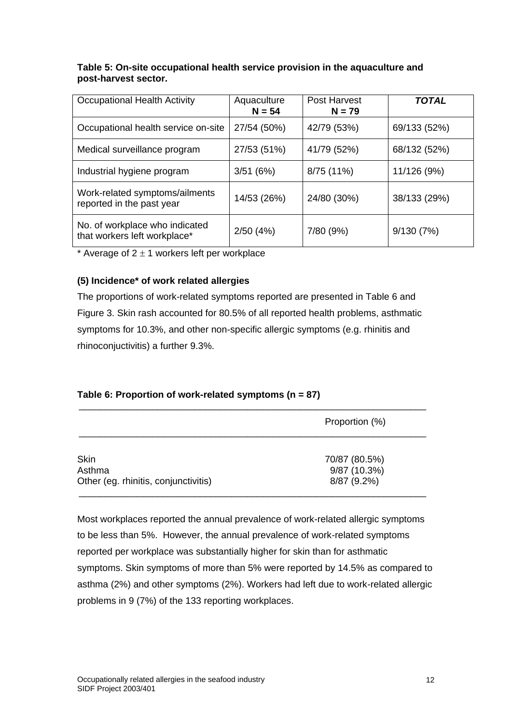## **Table 5: On-site occupational health service provision in the aquaculture and post-harvest sector.**

| <b>Occupational Health Activity</b>                            | Aquaculture<br>$N = 54$ | <b>Post Harvest</b><br>$N = 79$ | <b>TOTAL</b> |
|----------------------------------------------------------------|-------------------------|---------------------------------|--------------|
| Occupational health service on-site                            | 27/54 (50%)             | 42/79 (53%)                     | 69/133 (52%) |
| Medical surveillance program                                   | 27/53 (51%)             | 41/79 (52%)                     | 68/132 (52%) |
| Industrial hygiene program                                     | 3/51(6%)                | 8/75 (11%)                      | 11/126 (9%)  |
| Work-related symptoms/ailments<br>reported in the past year    | 14/53 (26%)             | 24/80 (30%)                     | 38/133 (29%) |
| No. of workplace who indicated<br>that workers left workplace* | 2/50(4%)                | 7/80 (9%)                       | 9/130(7%)    |

\* Average of  $2 \pm 1$  workers left per workplace

## **(5) Incidence\* of work related allergies**

The proportions of work-related symptoms reported are presented in Table 6 and Figure 3. Skin rash accounted for 80.5% of all reported health problems, asthmatic symptoms for 10.3%, and other non-specific allergic symptoms (e.g. rhinitis and rhinoconjuctivitis) a further 9.3%.

## **Table 6: Proportion of work-related symptoms (n = 87)**

|                                                | Proportion (%)              |
|------------------------------------------------|-----------------------------|
| Skin                                           | 70/87 (80.5%)               |
| Asthma<br>Other (eg. rhinitis, conjunctivitis) | 9/87 (10.3%)<br>8/87 (9.2%) |

Most workplaces reported the annual prevalence of work-related allergic symptoms to be less than 5%. However, the annual prevalence of work-related symptoms reported per workplace was substantially higher for skin than for asthmatic symptoms. Skin symptoms of more than 5% were reported by 14.5% as compared to asthma (2%) and other symptoms (2%). Workers had left due to work-related allergic problems in 9 (7%) of the 133 reporting workplaces.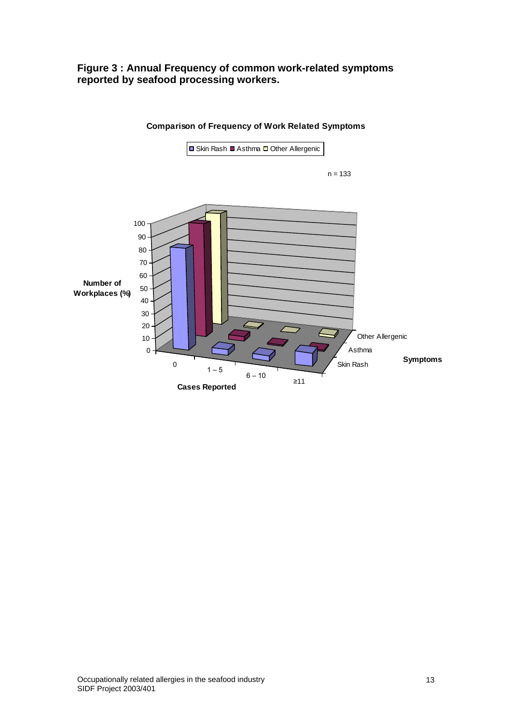## **Figure 3 : Annual Frequency of common work-related symptoms reported by seafood processing workers.**



#### **Comparison of Frequency of Work Related Symptoms**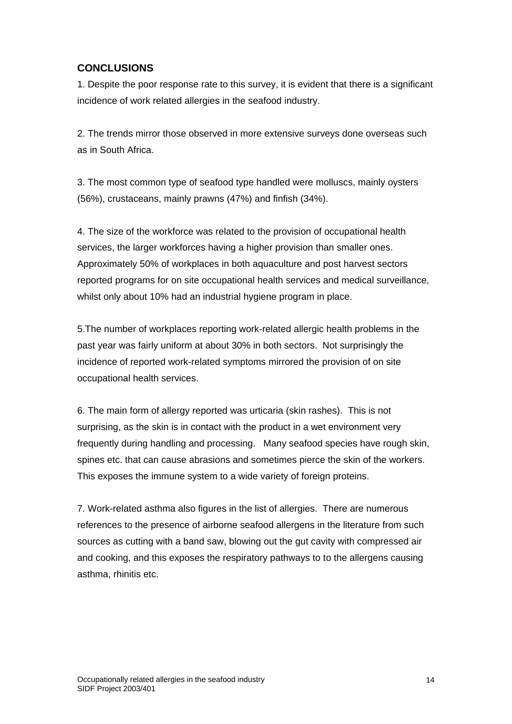## <span id="page-14-0"></span>**CONCLUSIONS**

1. Despite the poor response rate to this survey, it is evident that there is a significant incidence of work related allergies in the seafood industry.

2. The trends mirror those observed in more extensive surveys done overseas such as in South Africa.

3. The most common type of seafood type handled were molluscs, mainly oysters (56%), crustaceans, mainly prawns (47%) and finfish (34%).

4. The size of the workforce was related to the provision of occupational health services, the larger workforces having a higher provision than smaller ones. Approximately 50% of workplaces in both aquaculture and post harvest sectors reported programs for on site occupational health services and medical surveillance, whilst only about 10% had an industrial hygiene program in place.

5.The number of workplaces reporting work-related allergic health problems in the past year was fairly uniform at about 30% in both sectors. Not surprisingly the incidence of reported work-related symptoms mirrored the provision of on site occupational health services.

6. The main form of allergy reported was urticaria (skin rashes). This is not surprising, as the skin is in contact with the product in a wet environment very frequently during handling and processing. Many seafood species have rough skin, spines etc. that can cause abrasions and sometimes pierce the skin of the workers. This exposes the immune system to a wide variety of foreign proteins.

7. Work-related asthma also figures in the list of allergies. There are numerous references to the presence of airborne seafood allergens in the literature from such sources as cutting with a band saw, blowing out the gut cavity with compressed air and cooking, and this exposes the respiratory pathways to to the allergens causing asthma, rhinitis etc.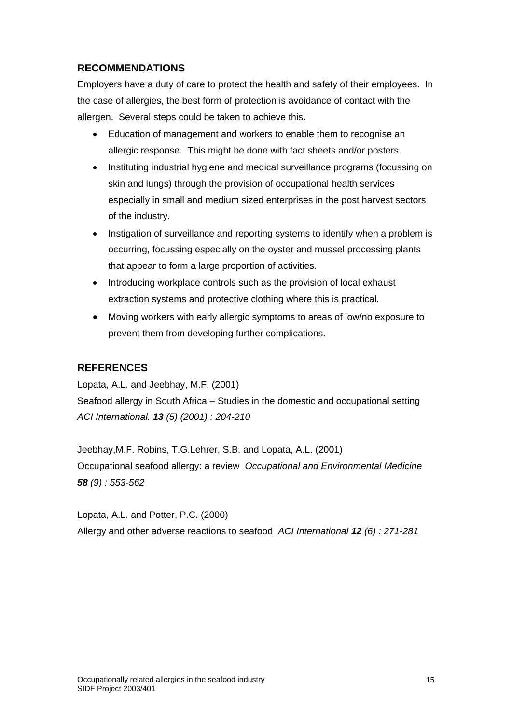# <span id="page-15-0"></span>**RECOMMENDATIONS**

Employers have a duty of care to protect the health and safety of their employees. In the case of allergies, the best form of protection is avoidance of contact with the allergen. Several steps could be taken to achieve this.

- Education of management and workers to enable them to recognise an allergic response. This might be done with fact sheets and/or posters.
- Instituting industrial hygiene and medical surveillance programs (focussing on skin and lungs) through the provision of occupational health services especially in small and medium sized enterprises in the post harvest sectors of the industry.
- Instigation of surveillance and reporting systems to identify when a problem is occurring, focussing especially on the oyster and mussel processing plants that appear to form a large proportion of activities.
- Introducing workplace controls such as the provision of local exhaust extraction systems and protective clothing where this is practical.
- Moving workers with early allergic symptoms to areas of low/no exposure to prevent them from developing further complications.

# <span id="page-15-1"></span>**REFERENCES**

Lopata, A.L. and Jeebhay, M.F. (2001)

Seafood allergy in South Africa – Studies in the domestic and occupational setting *ACI International. 13 (5) (2001) : 204-210*

Jeebhay,M.F. Robins, T.G.Lehrer, S.B. and Lopata, A.L. (2001) Occupational seafood allergy: a review *Occupational and Environmental Medicine 58 (9) : 553-562*

Lopata, A.L. and Potter, P.C. (2000) Allergy and other adverse reactions to seafood *ACI International 12 (6) : 271-281*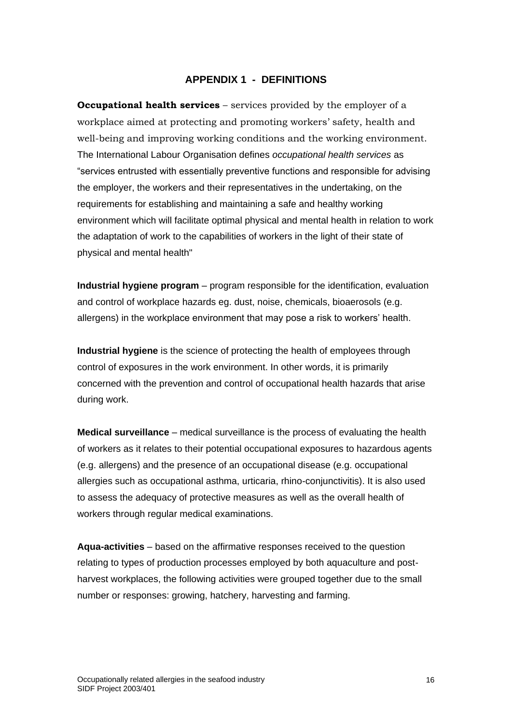#### **APPENDIX 1 - DEFINITIONS**

**Occupational health services** – services provided by the employer of a workplace aimed at protecting and promoting workers' safety, health and well-being and improving working conditions and the working environment. The International Labour Organisation defines *occupational health services* as "services entrusted with essentially preventive functions and responsible for advising the employer, the workers and their representatives in the undertaking, on the requirements for establishing and maintaining a safe and healthy working environment which will facilitate optimal physical and mental health in relation to work the adaptation of work to the capabilities of workers in the light of their state of physical and mental health"

**Industrial hygiene program** – program responsible for the identification, evaluation and control of workplace hazards eg. dust, noise, chemicals, bioaerosols (e.g. allergens) in the workplace environment that may pose a risk to workers' health.

**Industrial hygiene** is the science of protecting the health of employees through control of exposures in the work environment. In other words, it is primarily concerned with the prevention and control of occupational health hazards that arise during work.

**Medical surveillance** – medical surveillance is the process of evaluating the health of workers as it relates to their potential occupational exposures to hazardous agents (e.g. allergens) and the presence of an occupational disease (e.g. occupational allergies such as occupational asthma, urticaria, rhino-conjunctivitis). It is also used to assess the adequacy of protective measures as well as the overall health of workers through regular medical examinations.

**Aqua-activities** – based on the affirmative responses received to the question relating to types of production processes employed by both aquaculture and postharvest workplaces, the following activities were grouped together due to the small number or responses: growing, hatchery, harvesting and farming.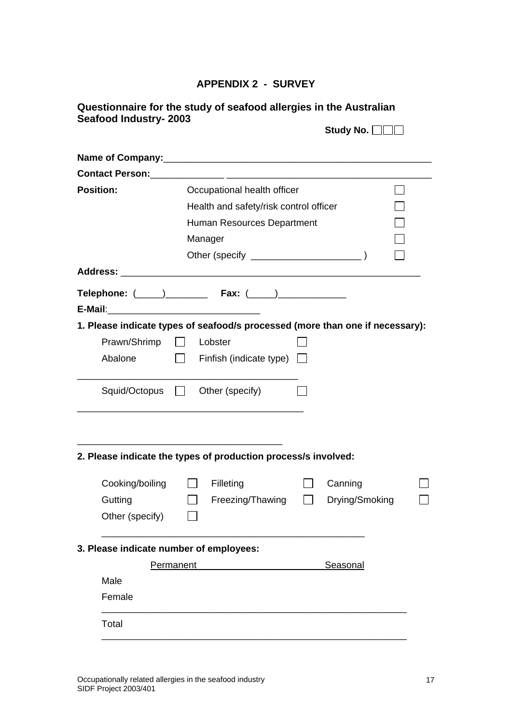# **APPENDIX 2 - SURVEY**

| Questionnaire for the study of seafood allergies in the Australian |                         |
|--------------------------------------------------------------------|-------------------------|
| Seafood Industry- 2003                                             |                         |
|                                                                    | Study No. $\Box$ $\Box$ |

| Contact Person: 2008 2009 2010 2020 2021 2022 2023 2024 2022 2022 2023 2024 2022 2023 2024 2022 2023 2024 2022 |           |                        |                                        |  |                                                                               |  |
|----------------------------------------------------------------------------------------------------------------|-----------|------------------------|----------------------------------------|--|-------------------------------------------------------------------------------|--|
| Occupational health officer<br><b>Position:</b>                                                                |           |                        |                                        |  |                                                                               |  |
|                                                                                                                |           |                        | Health and safety/risk control officer |  |                                                                               |  |
|                                                                                                                |           |                        | Human Resources Department             |  |                                                                               |  |
|                                                                                                                | Manager   |                        |                                        |  |                                                                               |  |
|                                                                                                                |           |                        |                                        |  |                                                                               |  |
|                                                                                                                |           |                        |                                        |  |                                                                               |  |
|                                                                                                                |           |                        |                                        |  |                                                                               |  |
|                                                                                                                |           |                        |                                        |  | 1. Please indicate types of seafood/s processed (more than one if necessary): |  |
| Prawn/Shrimp                                                                                                   |           | Lobster                |                                        |  |                                                                               |  |
| Abalone                                                                                                        |           |                        | $\Box$ Finfish (indicate type) $\Box$  |  |                                                                               |  |
|                                                                                                                |           |                        |                                        |  |                                                                               |  |
| Squid/Octopus                                                                                                  |           | $\Box$ Other (specify) |                                        |  |                                                                               |  |
|                                                                                                                |           |                        |                                        |  |                                                                               |  |
| 2. Please indicate the types of production process/s involved:                                                 |           |                        |                                        |  |                                                                               |  |
| Cooking/boiling                                                                                                |           | Filleting              |                                        |  | Canning                                                                       |  |
| Gutting                                                                                                        |           |                        | Freezing/Thawing                       |  | Drying/Smoking                                                                |  |
| Other (specify)                                                                                                |           |                        |                                        |  |                                                                               |  |
| 3. Please indicate number of employees:                                                                        |           |                        |                                        |  |                                                                               |  |
|                                                                                                                | Permanent |                        |                                        |  | Seasonal                                                                      |  |
| Male                                                                                                           |           |                        |                                        |  |                                                                               |  |
| Female                                                                                                         |           |                        |                                        |  |                                                                               |  |
| Total                                                                                                          |           |                        |                                        |  |                                                                               |  |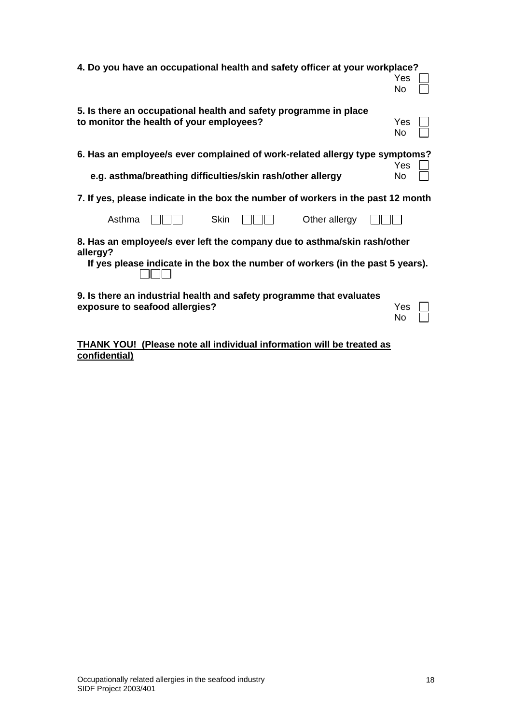| 4. Do you have an occupational health and safety officer at your workplace?          |     |  |
|--------------------------------------------------------------------------------------|-----|--|
|                                                                                      | Yes |  |
|                                                                                      | No  |  |
|                                                                                      |     |  |
| 5. Is there an occupational health and safety programme in place                     |     |  |
| to monitor the health of your employees?                                             | Yes |  |
|                                                                                      | No  |  |
|                                                                                      |     |  |
| 6. Has an employee/s ever complained of work-related allergy type symptoms?          |     |  |
|                                                                                      | Yes |  |
|                                                                                      |     |  |
| e.g. asthma/breathing difficulties/skin rash/other allergy                           | No  |  |
| 7. If yes, please indicate in the box the number of workers in the past 12 month     |     |  |
| Asthma<br>Skin<br>Other allergy                                                      |     |  |
|                                                                                      |     |  |
| 8. Has an employee/s ever left the company due to asthma/skin rash/other<br>allergy? |     |  |
| If yes please indicate in the box the number of workers (in the past 5 years).       |     |  |
|                                                                                      |     |  |
|                                                                                      |     |  |
| 9. Is there an industrial health and safety programme that evaluates                 |     |  |
| exposure to seafood allergies?                                                       | Yes |  |
|                                                                                      | No  |  |
|                                                                                      |     |  |

**THANK YOU! (Please note all individual information will be treated as confidential)**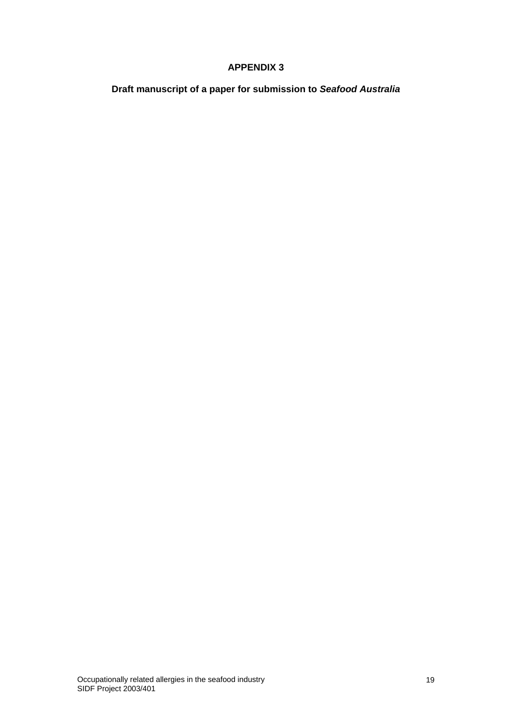## **APPENDIX 3**

**Draft manuscript of a paper for submission to** *Seafood Australia*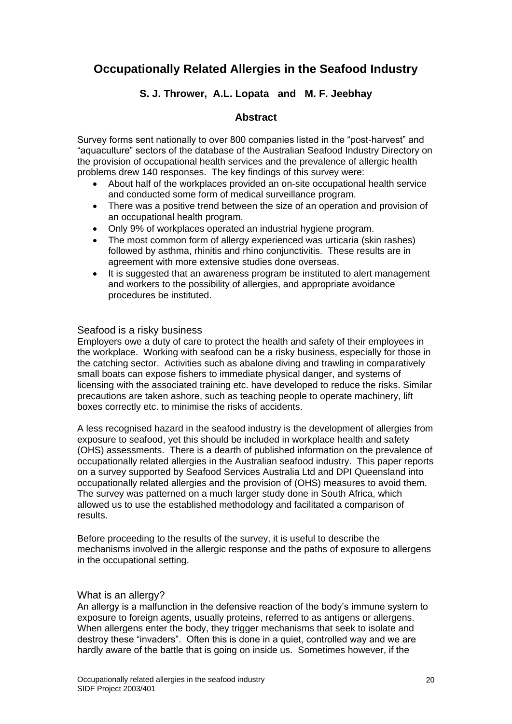# **Occupationally Related Allergies in the Seafood Industry**

## **S. J. Thrower, A.L. Lopata and M. F. Jeebhay**

## **Abstract**

Survey forms sent nationally to over 800 companies listed in the "post-harvest" and "aquaculture" sectors of the database of the Australian Seafood Industry Directory on the provision of occupational health services and the prevalence of allergic health problems drew 140 responses. The key findings of this survey were:

- About half of the workplaces provided an on-site occupational health service and conducted some form of medical surveillance program.
- There was a positive trend between the size of an operation and provision of an occupational health program.
- Only 9% of workplaces operated an industrial hygiene program.
- The most common form of allergy experienced was urticaria (skin rashes) followed by asthma, rhinitis and rhino conjunctivitis. These results are in agreement with more extensive studies done overseas.
- It is suggested that an awareness program be instituted to alert management and workers to the possibility of allergies, and appropriate avoidance procedures be instituted.

#### Seafood is a risky business

Employers owe a duty of care to protect the health and safety of their employees in the workplace. Working with seafood can be a risky business, especially for those in the catching sector. Activities such as abalone diving and trawling in comparatively small boats can expose fishers to immediate physical danger, and systems of licensing with the associated training etc. have developed to reduce the risks. Similar precautions are taken ashore, such as teaching people to operate machinery, lift boxes correctly etc. to minimise the risks of accidents.

A less recognised hazard in the seafood industry is the development of allergies from exposure to seafood, yet this should be included in workplace health and safety (OHS) assessments. There is a dearth of published information on the prevalence of occupationally related allergies in the Australian seafood industry. This paper reports on a survey supported by Seafood Services Australia Ltd and DPI Queensland into occupationally related allergies and the provision of (OHS) measures to avoid them. The survey was patterned on a much larger study done in South Africa, which allowed us to use the established methodology and facilitated a comparison of results.

Before proceeding to the results of the survey, it is useful to describe the mechanisms involved in the allergic response and the paths of exposure to allergens in the occupational setting.

#### What is an allergy?

An allergy is a malfunction in the defensive reaction of the body's immune system to exposure to foreign agents, usually proteins, referred to as antigens or allergens. When allergens enter the body, they trigger mechanisms that seek to isolate and destroy these "invaders". Often this is done in a quiet, controlled way and we are hardly aware of the battle that is going on inside us. Sometimes however, if the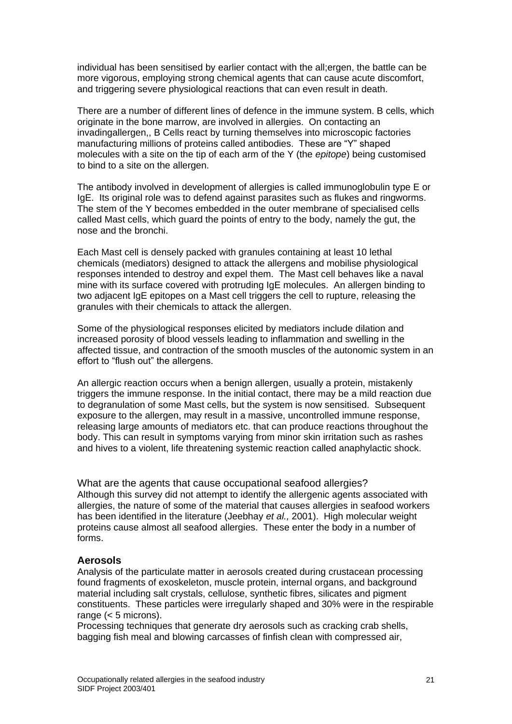individual has been sensitised by earlier contact with the all;ergen, the battle can be more vigorous, employing strong chemical agents that can cause acute discomfort, and triggering severe physiological reactions that can even result in death.

There are a number of different lines of defence in the immune system. B cells, which originate in the bone marrow, are involved in allergies. On contacting an invadingallergen,, B Cells react by turning themselves into microscopic factories manufacturing millions of proteins called antibodies. These are "Y" shaped molecules with a site on the tip of each arm of the Y (the *epitope*) being customised to bind to a site on the allergen.

The antibody involved in development of allergies is called immunoglobulin type E or IgE. Its original role was to defend against parasites such as flukes and ringworms. The stem of the Y becomes embedded in the outer membrane of specialised cells called Mast cells, which guard the points of entry to the body, namely the gut, the nose and the bronchi.

Each Mast cell is densely packed with granules containing at least 10 lethal chemicals (mediators) designed to attack the allergens and mobilise physiological responses intended to destroy and expel them. The Mast cell behaves like a naval mine with its surface covered with protruding IgE molecules. An allergen binding to two adjacent IgE epitopes on a Mast cell triggers the cell to rupture, releasing the granules with their chemicals to attack the allergen.

Some of the physiological responses elicited by mediators include dilation and increased porosity of blood vessels leading to inflammation and swelling in the affected tissue, and contraction of the smooth muscles of the autonomic system in an effort to "flush out" the allergens.

An allergic reaction occurs when a benign allergen, usually a protein, mistakenly triggers the immune response. In the initial contact, there may be a mild reaction due to degranulation of some Mast cells, but the system is now sensitised. Subsequent exposure to the allergen, may result in a massive, uncontrolled immune response, releasing large amounts of mediators etc. that can produce reactions throughout the body. This can result in symptoms varying from minor skin irritation such as rashes and hives to a violent, life threatening systemic reaction called anaphylactic shock.

What are the agents that cause occupational seafood allergies? Although this survey did not attempt to identify the allergenic agents associated with allergies, the nature of some of the material that causes allergies in seafood workers has been identified in the literature (Jeebhay *et al.,* 2001). High molecular weight proteins cause almost all seafood allergies. These enter the body in a number of forms.

## **Aerosols**

Analysis of the particulate matter in aerosols created during crustacean processing found fragments of exoskeleton, muscle protein, internal organs, and background material including salt crystals, cellulose, synthetic fibres, silicates and pigment constituents. These particles were irregularly shaped and 30% were in the respirable range  $(< 5$  microns).

Processing techniques that generate dry aerosols such as cracking crab shells, bagging fish meal and blowing carcasses of finfish clean with compressed air,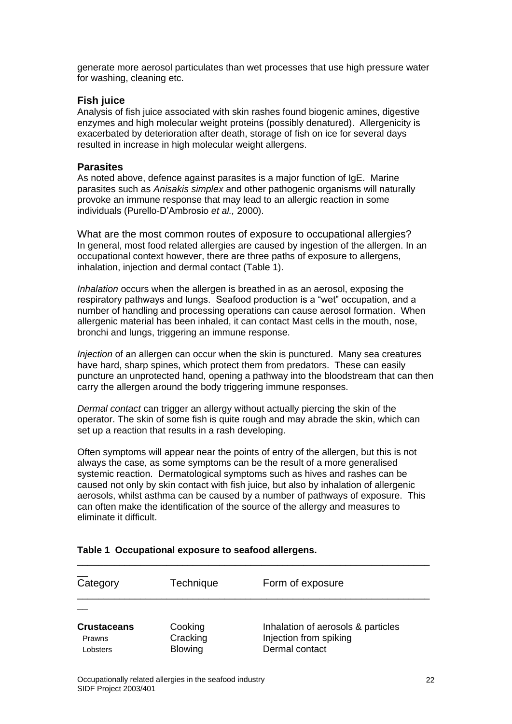generate more aerosol particulates than wet processes that use high pressure water for washing, cleaning etc.

## **Fish juice**

Analysis of fish juice associated with skin rashes found biogenic amines, digestive enzymes and high molecular weight proteins (possibly denatured). Allergenicity is exacerbated by deterioration after death, storage of fish on ice for several days resulted in increase in high molecular weight allergens.

#### **Parasites**

As noted above, defence against parasites is a major function of IgE. Marine parasites such as *Anisakis simplex* and other pathogenic organisms will naturally provoke an immune response that may lead to an allergic reaction in some individuals (Purello-D'Ambrosio *et al.,* 2000).

What are the most common routes of exposure to occupational allergies? In general, most food related allergies are caused by ingestion of the allergen. In an occupational context however, there are three paths of exposure to allergens, inhalation, injection and dermal contact (Table 1).

*Inhalation* occurs when the allergen is breathed in as an aerosol, exposing the respiratory pathways and lungs. Seafood production is a "wet" occupation, and a number of handling and processing operations can cause aerosol formation. When allergenic material has been inhaled, it can contact Mast cells in the mouth, nose, bronchi and lungs, triggering an immune response.

*Injection* of an allergen can occur when the skin is punctured. Many sea creatures have hard, sharp spines, which protect them from predators. These can easily puncture an unprotected hand, opening a pathway into the bloodstream that can then carry the allergen around the body triggering immune responses.

*Dermal contact* can trigger an allergy without actually piercing the skin of the operator. The skin of some fish is quite rough and may abrade the skin, which can set up a reaction that results in a rash developing.

Often symptoms will appear near the points of entry of the allergen, but this is not always the case, as some symptoms can be the result of a more generalised systemic reaction. Dermatological symptoms such as hives and rashes can be caused not only by skin contact with fish juice, but also by inhalation of allergenic aerosols, whilst asthma can be caused by a number of pathways of exposure. This can often make the identification of the source of the allergy and measures to eliminate it difficult.

| Category                                 | Technique                             | Form of exposure                                                               |
|------------------------------------------|---------------------------------------|--------------------------------------------------------------------------------|
|                                          |                                       |                                                                                |
| <b>Crustaceans</b><br>Prawns<br>Lobsters | Cooking<br>Cracking<br><b>Blowing</b> | Inhalation of aerosols & particles<br>Injection from spiking<br>Dermal contact |

## **Table 1 Occupational exposure to seafood allergens.**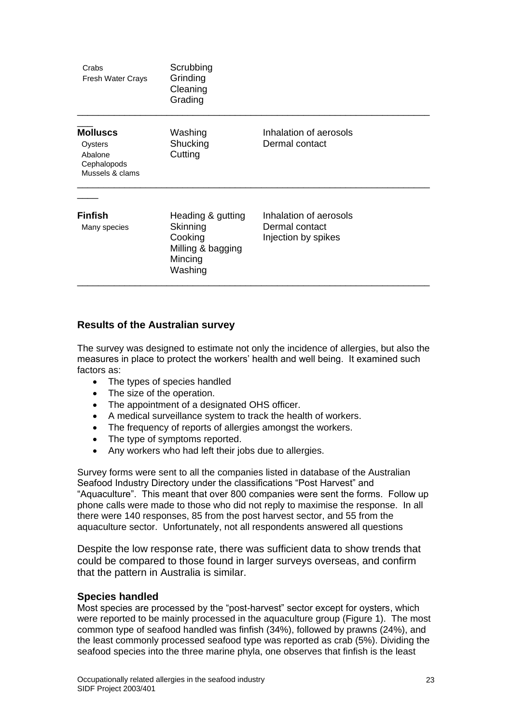| Crabs<br>Fresh Water Crays                                              | Scrubbing<br>Grinding<br>Cleaning<br>Grading                                        |                                                                 |  |
|-------------------------------------------------------------------------|-------------------------------------------------------------------------------------|-----------------------------------------------------------------|--|
| <b>Molluscs</b><br>Oysters<br>Abalone<br>Cephalopods<br>Mussels & clams | Washing<br>Shucking<br>Cutting                                                      | Inhalation of aerosols<br>Dermal contact                        |  |
| <b>Finfish</b><br>Many species                                          | Heading & gutting<br>Skinning<br>Cooking<br>Milling & bagging<br>Mincing<br>Washing | Inhalation of aerosols<br>Dermal contact<br>Injection by spikes |  |

## **Results of the Australian survey**

The survey was designed to estimate not only the incidence of allergies, but also the measures in place to protect the workers' health and well being. It examined such factors as:

- The types of species handled
- The size of the operation.
- The appointment of a designated OHS officer.
- A medical surveillance system to track the health of workers.
- The frequency of reports of allergies amongst the workers.
- The type of symptoms reported.
- Any workers who had left their jobs due to allergies.

Survey forms were sent to all the companies listed in database of the Australian Seafood Industry Directory under the classifications "Post Harvest" and "Aquaculture". This meant that over 800 companies were sent the forms. Follow up phone calls were made to those who did not reply to maximise the response. In all there were 140 responses, 85 from the post harvest sector, and 55 from the aquaculture sector. Unfortunately, not all respondents answered all questions

Despite the low response rate, there was sufficient data to show trends that could be compared to those found in larger surveys overseas, and confirm that the pattern in Australia is similar.

## **Species handled**

Most species are processed by the "post-harvest" sector except for oysters, which were reported to be mainly processed in the aquaculture group (Figure 1). The most common type of seafood handled was finfish (34%), followed by prawns (24%), and the least commonly processed seafood type was reported as crab (5%). Dividing the seafood species into the three marine phyla, one observes that finfish is the least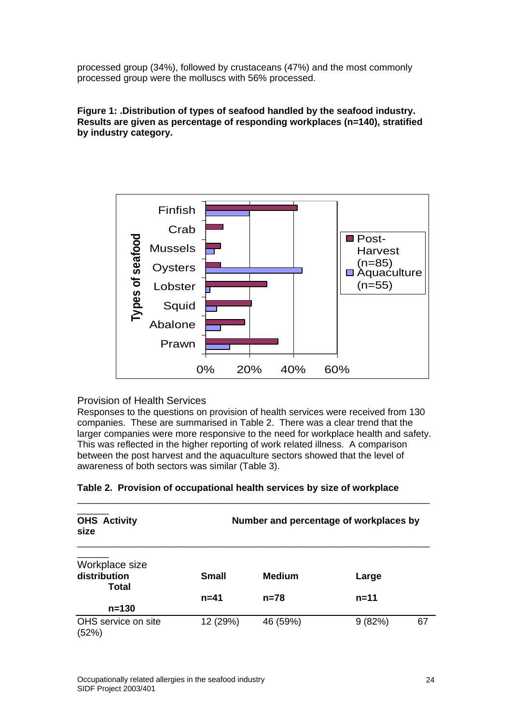processed group (34%), followed by crustaceans (47%) and the most commonly processed group were the molluscs with 56% processed.

#### **Figure 1: .Distribution of types of seafood handled by the seafood industry. Results are given as percentage of responding workplaces (n=140), stratified by industry category.**



## Provision of Health Services

Responses to the questions on provision of health services were received from 130 companies. These are summarised in Table 2. There was a clear trend that the larger companies were more responsive to the need for workplace health and safety. This was reflected in the higher reporting of work related illness. A comparison between the post harvest and the aquaculture sectors showed that the level of awareness of both sectors was similar (Table 3).

| <b>OHS Activity</b><br>size                    |              | Number and percentage of workplaces by |          |    |
|------------------------------------------------|--------------|----------------------------------------|----------|----|
| Workplace size<br>distribution<br><b>Total</b> | <b>Small</b> | <b>Medium</b>                          | Large    |    |
|                                                | $n = 41$     | $n = 78$                               | $n = 11$ |    |
| $n = 130$                                      |              |                                        |          |    |
| OHS service on site<br>(52%)                   | 12 (29%)     | 46 (59%)                               | 9(82%)   | 67 |

## **Table 2. Provision of occupational health services by size of workplace**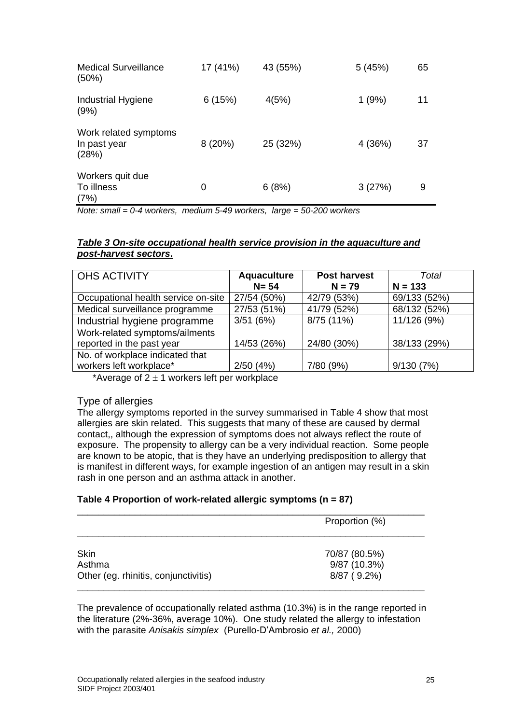| <b>Medical Surveillance</b><br>(50%)           | 17 (41%) | 43 (55%) | 5(45%) | 65 |
|------------------------------------------------|----------|----------|--------|----|
| Industrial Hygiene<br>(9%)                     | 6(15%)   | 4(5%)    | 1(9%)  | 11 |
| Work related symptoms<br>In past year<br>(28%) | 8(20%)   | 25 (32%) | 4(36%) | 37 |
| Workers quit due<br>To illness<br>(7%)         | 0        | 6(8%)    | 3(27%) | 9  |

*Note: small = 0-4 workers, medium 5-49 workers, large = 50-200 workers* 

## *Table 3 On-site occupational health service provision in the aquaculture and post-harvest sectors***.**

| <b>OHS ACTIVITY</b>                 | <b>Aquaculture</b> | <b>Post harvest</b> | Total        |
|-------------------------------------|--------------------|---------------------|--------------|
|                                     | $N = 54$           | $N = 79$            | $N = 133$    |
| Occupational health service on-site | 27/54 (50%)        | 42/79 (53%)         | 69/133 (52%) |
| Medical surveillance programme      | 27/53 (51%)        | 41/79 (52%)         | 68/132 (52%) |
| Industrial hygiene programme        | 3/51(6%)           | 8/75 (11%)          | 11/126 (9%)  |
| Work-related symptoms/ailments      |                    |                     |              |
| reported in the past year           | 14/53 (26%)        | 24/80 (30%)         | 38/133 (29%) |
| No. of workplace indicated that     |                    |                     |              |
| workers left workplace*             | 2/50(4%)           | 7/80 (9%)           | 9/130(7%)    |

\*Average of  $2 \pm 1$  workers left per workplace

## Type of allergies

The allergy symptoms reported in the survey summarised in Table 4 show that most allergies are skin related. This suggests that many of these are caused by dermal contact,, although the expression of symptoms does not always reflect the route of exposure. The propensity to allergy can be a very individual reaction. Some people are known to be atopic, that is they have an underlying predisposition to allergy that is manifest in different ways, for example ingestion of an antigen may result in a skin rash in one person and an asthma attack in another.

## **Table 4 Proportion of work-related allergic symptoms (n = 87)**

|                                      | Proportion (%) |
|--------------------------------------|----------------|
| Skin                                 | 70/87 (80.5%)  |
| Asthma                               | 9/87 (10.3%)   |
| Other (eg. rhinitis, conjunctivitis) | 8/87 (9.2%)    |

The prevalence of occupationally related asthma (10.3%) is in the range reported in the literature (2%-36%, average 10%). One study related the allergy to infestation with the parasite *Anisakis simplex* (Purello-D'Ambrosio *et al.,* 2000)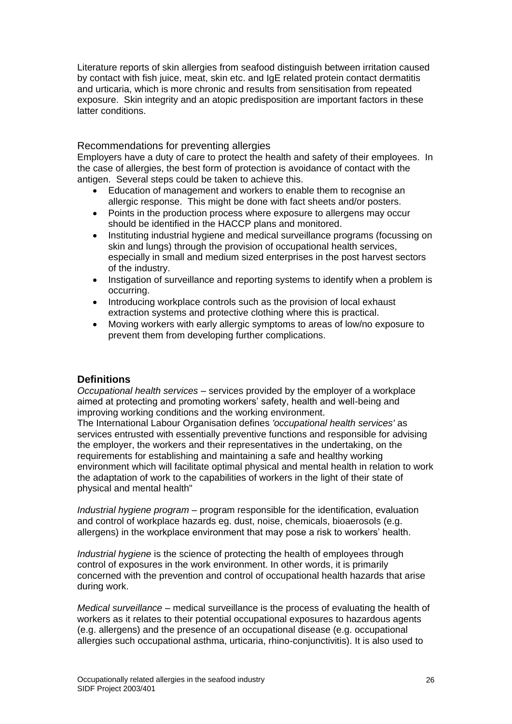Literature reports of skin allergies from seafood distinguish between irritation caused by contact with fish juice, meat, skin etc. and IgE related protein contact dermatitis and urticaria, which is more chronic and results from sensitisation from repeated exposure. Skin integrity and an atopic predisposition are important factors in these latter conditions.

## Recommendations for preventing allergies

Employers have a duty of care to protect the health and safety of their employees. In the case of allergies, the best form of protection is avoidance of contact with the antigen. Several steps could be taken to achieve this.

- Education of management and workers to enable them to recognise an allergic response. This might be done with fact sheets and/or posters.
- Points in the production process where exposure to allergens may occur should be identified in the HACCP plans and monitored.
- Instituting industrial hygiene and medical surveillance programs (focussing on skin and lungs) through the provision of occupational health services, especially in small and medium sized enterprises in the post harvest sectors of the industry.
- Instigation of surveillance and reporting systems to identify when a problem is occurring.
- Introducing workplace controls such as the provision of local exhaust extraction systems and protective clothing where this is practical.
- Moving workers with early allergic symptoms to areas of low/no exposure to prevent them from developing further complications.

## **Definitions**

*Occupational health services* – services provided by the employer of a workplace aimed at protecting and promoting workers' safety, health and well-being and improving working conditions and the working environment.

The International Labour Organisation defines *'occupational health services'* as services entrusted with essentially preventive functions and responsible for advising the employer, the workers and their representatives in the undertaking, on the requirements for establishing and maintaining a safe and healthy working environment which will facilitate optimal physical and mental health in relation to work the adaptation of work to the capabilities of workers in the light of their state of physical and mental health"

*Industrial hygiene program* – program responsible for the identification, evaluation and control of workplace hazards eg. dust, noise, chemicals, bioaerosols (e.g. allergens) in the workplace environment that may pose a risk to workers' health.

*Industrial hygiene* is the science of protecting the health of employees through control of exposures in the work environment. In other words, it is primarily concerned with the prevention and control of occupational health hazards that arise during work.

*Medical surveillance* – medical surveillance is the process of evaluating the health of workers as it relates to their potential occupational exposures to hazardous agents (e.g. allergens) and the presence of an occupational disease (e.g. occupational allergies such occupational asthma, urticaria, rhino-conjunctivitis). It is also used to